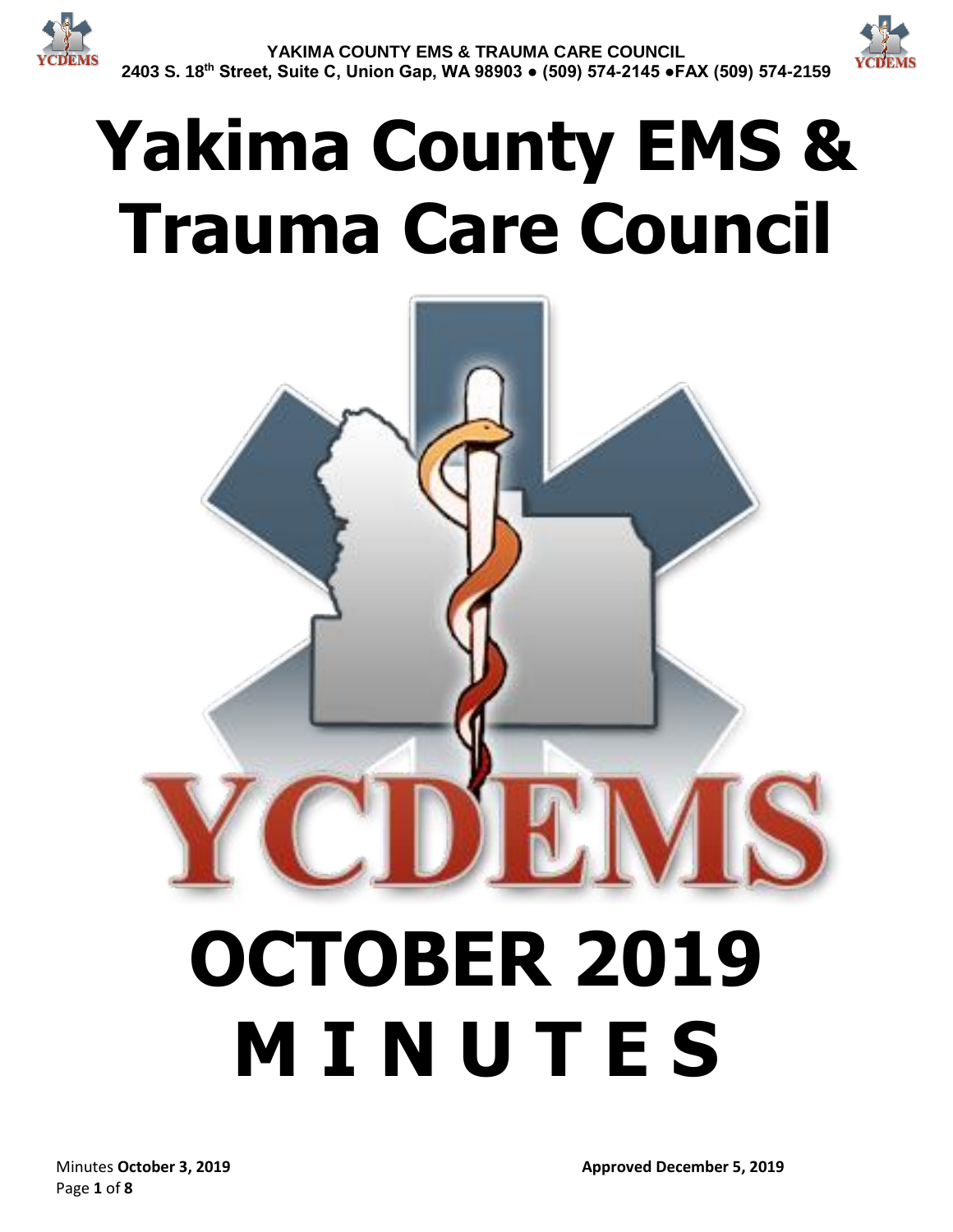

# **Yakima County EMS & Trauma Care Council**

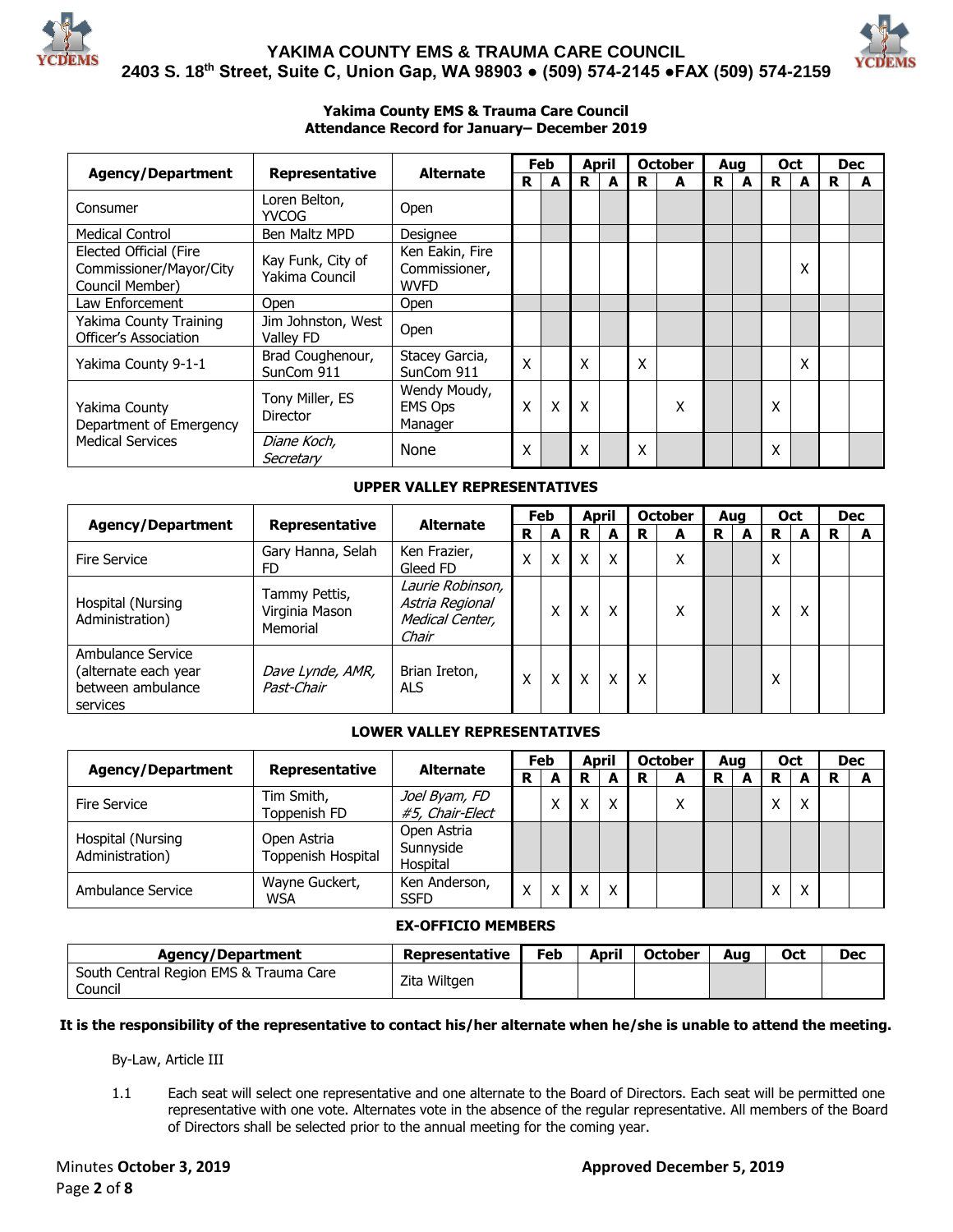



#### **Yakima County EMS & Trauma Care Council Attendance Record for January– December 2019**

|                                                                      |                                     |                                                 |   | Feb | <b>April</b> |   | <b>October</b> | Aua |   | <b>Oct</b> |   |   | <b>Dec</b> |
|----------------------------------------------------------------------|-------------------------------------|-------------------------------------------------|---|-----|--------------|---|----------------|-----|---|------------|---|---|------------|
| <b>Agency/Department</b>                                             | Representative                      | <b>Alternate</b>                                | R | А   | R            | R | А              | R   | A | R          | А | R | A          |
| Consumer                                                             | Loren Belton,<br><b>YVCOG</b>       | Open                                            |   |     |              |   |                |     |   |            |   |   |            |
| <b>Medical Control</b>                                               | Ben Maltz MPD                       | Designee                                        |   |     |              |   |                |     |   |            |   |   |            |
| Elected Official (Fire<br>Commissioner/Mayor/City<br>Council Member) | Kay Funk, City of<br>Yakima Council | Ken Eakin, Fire<br>Commissioner,<br><b>WVFD</b> |   |     |              |   |                |     |   |            | x |   |            |
| Law Enforcement                                                      | <b>Open</b>                         | Open                                            |   |     |              |   |                |     |   |            |   |   |            |
| Yakima County Training<br>Officer's Association                      | Jim Johnston, West<br>Valley FD     | Open                                            |   |     |              |   |                |     |   |            |   |   |            |
| Yakima County 9-1-1                                                  | Brad Coughenour,<br>SunCom 911      | Stacey Garcia,<br>SunCom 911                    | Χ |     | Χ            | Χ |                |     |   |            | Χ |   |            |
| Yakima County<br>Department of Emergency                             | Tony Miller, ES<br><b>Director</b>  | Wendy Moudy,<br><b>EMS Ops</b><br>Manager       | X | X   | X            |   | Χ              |     |   | Χ          |   |   |            |
| <b>Medical Services</b>                                              | Diane Koch,<br>Secretary            | None                                            | Χ |     | X            | Χ |                |     |   | X          |   |   |            |

#### **UPPER VALLEY REPRESENTATIVES**

|                                                                            |                                             |                                                                 |                       | Feb          |   | <b>April</b> |   | <b>October</b> | Aua |   | Oct              |   |   | <b>Dec</b> |
|----------------------------------------------------------------------------|---------------------------------------------|-----------------------------------------------------------------|-----------------------|--------------|---|--------------|---|----------------|-----|---|------------------|---|---|------------|
| <b>Agency/Department</b>                                                   | <b>Representative</b>                       |                                                                 | <b>Alternate</b><br>R |              | R | A            | R | A              | R   | A | R                | А | R |            |
| <b>Fire Service</b>                                                        | Gary Hanna, Selah<br>FD                     | Ken Frazier,<br>Gleed FD                                        | x                     | X            | X | X            |   | v<br>⋏         |     |   | Χ                |   |   |            |
| Hospital (Nursing<br>Administration)                                       | Tammy Pettis,<br>Virginia Mason<br>Memorial | Laurie Robinson,<br>Astria Regional<br>Medical Center,<br>Chair |                       | $\checkmark$ | X | x            |   | ∧              |     |   |                  | x |   |            |
| Ambulance Service<br>(alternate each year<br>between ambulance<br>services | Dave Lynde, AMR,<br>Past-Chair              | Brian Ireton,<br><b>ALS</b>                                     |                       | Χ            | Χ | X            | X |                |     |   | $\check{ }$<br>л |   |   |            |

#### **LOWER VALLEY REPRESENTATIVES**

|                                      |                                   | <b>Alternate</b>                     | Feb          |   | April |   |   | <b>October</b> | Aug |   | <b>Oct</b> |   |   | <b>Dec</b> |
|--------------------------------------|-----------------------------------|--------------------------------------|--------------|---|-------|---|---|----------------|-----|---|------------|---|---|------------|
| <b>Agency/Department</b>             | Representative                    | R                                    |              | А | R     | A | R | A              | R   | А | R          |   | R |            |
| <b>Fire Service</b>                  | Tim Smith,<br>Toppenish FD        | Joel Byam, FD<br>#5, Chair-Elect     |              |   | x     | X |   | Χ              |     |   |            | X |   |            |
| Hospital (Nursing<br>Administration) | Open Astria<br>Toppenish Hospital | Open Astria<br>Sunnyside<br>Hospital |              |   |       |   |   |                |     |   |            |   |   |            |
| Ambulance Service                    | Wayne Guckert,<br><b>WSA</b>      | Ken Anderson,<br><b>SSFD</b>         | $\checkmark$ |   | x     | X |   |                |     |   |            | X |   |            |

#### **EX-OFFICIO MEMBERS**

| Agency/Department                                 | Representative | Feb | April | <b>October</b> | Aua | Oct | Dec |
|---------------------------------------------------|----------------|-----|-------|----------------|-----|-----|-----|
| South Central Region EMS & Trauma Care<br>Council | Zita Wiltgen   |     |       |                |     |     |     |

#### **It is the responsibility of the representative to contact his/her alternate when he/she is unable to attend the meeting.**

By-Law, Article III

1.1 Each seat will select one representative and one alternate to the Board of Directors. Each seat will be permitted one representative with one vote. Alternates vote in the absence of the regular representative. All members of the Board of Directors shall be selected prior to the annual meeting for the coming year.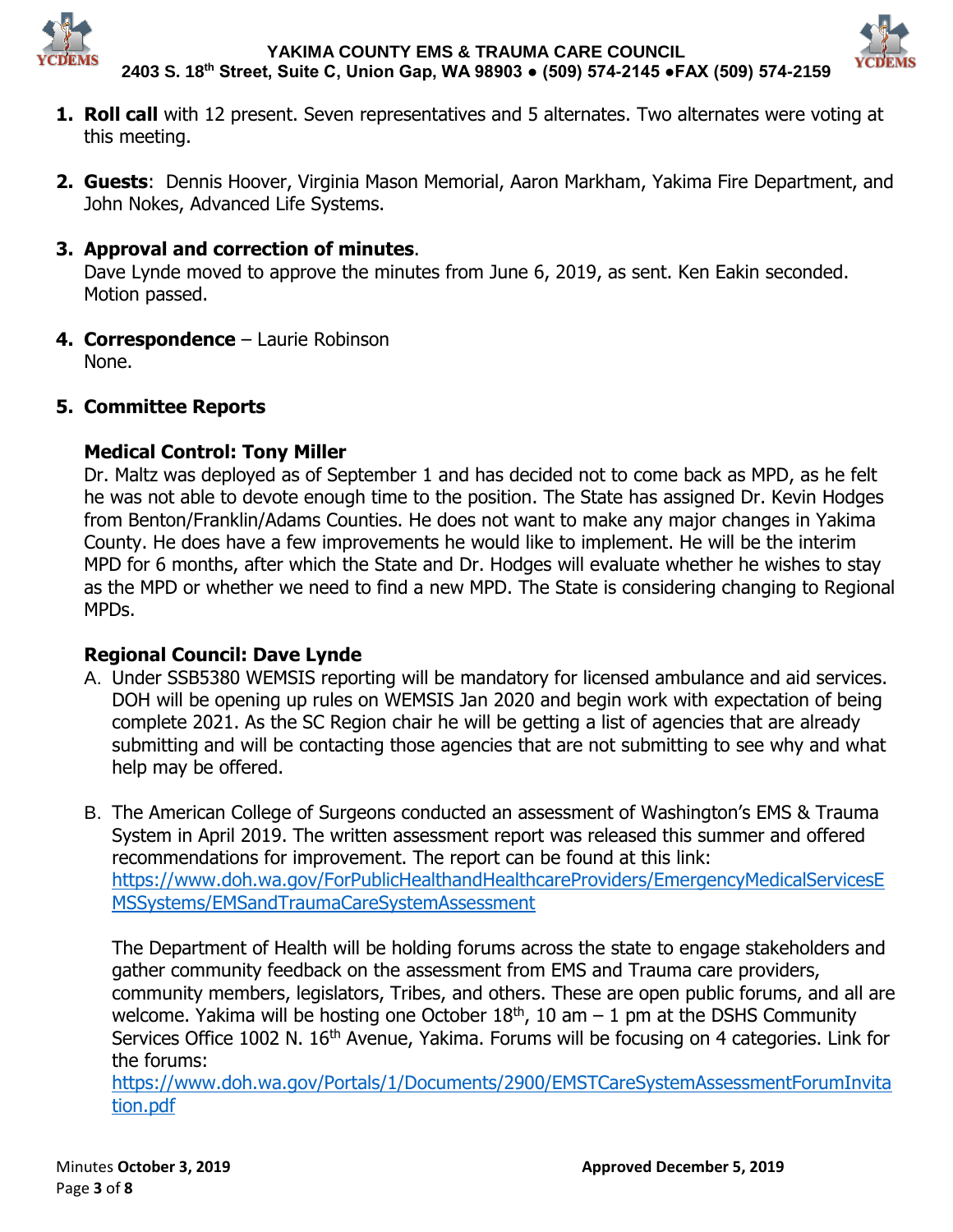



- **1. Roll call** with 12 present. Seven representatives and 5 alternates. Two alternates were voting at this meeting.
- **2. Guests**: Dennis Hoover, Virginia Mason Memorial, Aaron Markham, Yakima Fire Department, and John Nokes, Advanced Life Systems.

## **3. Approval and correction of minutes**.

Dave Lynde moved to approve the minutes from June 6, 2019, as sent. Ken Eakin seconded. Motion passed.

**4. Correspondence** – Laurie Robinson None.

# **5. Committee Reports**

# **Medical Control: Tony Miller**

Dr. Maltz was deployed as of September 1 and has decided not to come back as MPD, as he felt he was not able to devote enough time to the position. The State has assigned Dr. Kevin Hodges from Benton/Franklin/Adams Counties. He does not want to make any major changes in Yakima County. He does have a few improvements he would like to implement. He will be the interim MPD for 6 months, after which the State and Dr. Hodges will evaluate whether he wishes to stay as the MPD or whether we need to find a new MPD. The State is considering changing to Regional MPDs.

## **Regional Council: Dave Lynde**

- A. Under SSB5380 WEMSIS reporting will be mandatory for licensed ambulance and aid services. DOH will be opening up rules on WEMSIS Jan 2020 and begin work with expectation of being complete 2021. As the SC Region chair he will be getting a list of agencies that are already submitting and will be contacting those agencies that are not submitting to see why and what help may be offered.
- B. The American College of Surgeons conducted an assessment of Washington's EMS & Trauma System in April 2019. The written assessment report was released this summer and offered recommendations for improvement. The report can be found at this link: [https://www.doh.wa.gov/ForPublicHealthandHealthcareProviders/EmergencyMedicalServicesE](https://www.doh.wa.gov/ForPublicHealthandHealthcareProviders/EmergencyMedicalServicesEMSSystems/EMSandTraumaCareSystemAssessment) [MSSystems/EMSandTraumaCareSystemAssessment](https://www.doh.wa.gov/ForPublicHealthandHealthcareProviders/EmergencyMedicalServicesEMSSystems/EMSandTraumaCareSystemAssessment)

The Department of Health will be holding forums across the state to engage stakeholders and gather community feedback on the assessment from EMS and Trauma care providers, community members, legislators, Tribes, and others. These are open public forums, and all are welcome. Yakima will be hosting one October  $18<sup>th</sup>$ , 10 am  $-1$  pm at the DSHS Community Services Office 1002 N. 16<sup>th</sup> Avenue, Yakima. Forums will be focusing on 4 categories. Link for the forums:

[https://www.doh.wa.gov/Portals/1/Documents/2900/EMSTCareSystemAssessmentForumInvita](https://www.doh.wa.gov/Portals/1/Documents/2900/EMSTCareSystemAssessmentForumInvitation.pdf) [tion.pdf](https://www.doh.wa.gov/Portals/1/Documents/2900/EMSTCareSystemAssessmentForumInvitation.pdf)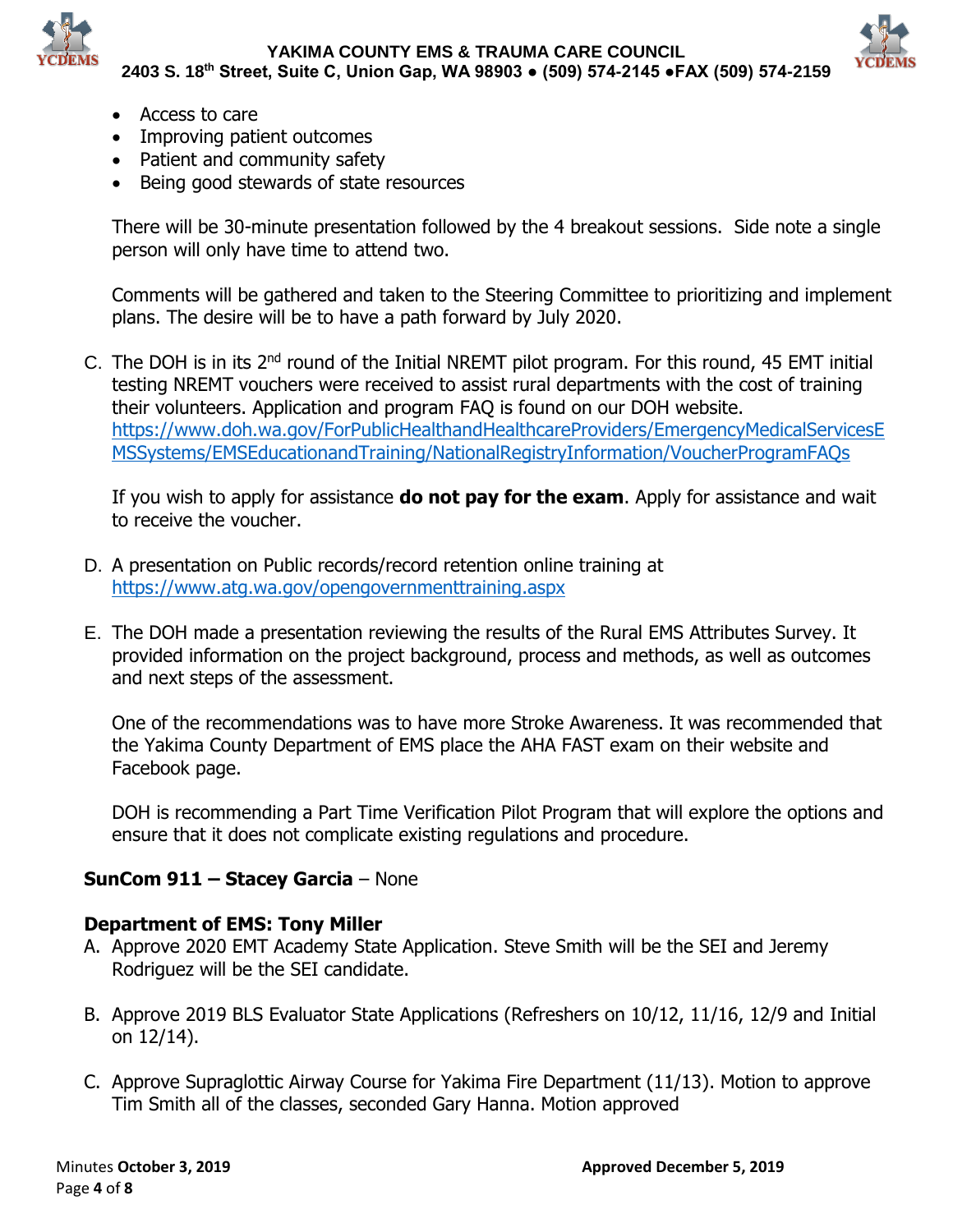



- Access to care
- Improving patient outcomes
- Patient and community safety
- Being good stewards of state resources

There will be 30-minute presentation followed by the 4 breakout sessions. Side note a single person will only have time to attend two.

Comments will be gathered and taken to the Steering Committee to prioritizing and implement plans. The desire will be to have a path forward by July 2020.

C. The DOH is in its 2nd round of the Initial NREMT pilot program. For this round, 45 EMT initial testing NREMT vouchers were received to assist rural departments with the cost of training their volunteers. Application and program FAQ is found on our DOH website. [https://www.doh.wa.gov/ForPublicHealthandHealthcareProviders/EmergencyMedicalServicesE](https://www.doh.wa.gov/ForPublicHealthandHealthcareProviders/EmergencyMedicalServicesEMSSystems/EMSEducationandTraining/NationalRegistryInformation/VoucherProgramFAQs) [MSSystems/EMSEducationandTraining/NationalRegistryInformation/VoucherProgramFAQs](https://www.doh.wa.gov/ForPublicHealthandHealthcareProviders/EmergencyMedicalServicesEMSSystems/EMSEducationandTraining/NationalRegistryInformation/VoucherProgramFAQs)

If you wish to apply for assistance **do not pay for the exam**. Apply for assistance and wait to receive the voucher.

- D. A presentation on Public records/record retention online training at <https://www.atg.wa.gov/opengovernmenttraining.aspx>
- E. The DOH made a presentation reviewing the results of the Rural EMS Attributes Survey. It provided information on the project background, process and methods, as well as outcomes and next steps of the assessment.

One of the recommendations was to have more Stroke Awareness. It was recommended that the Yakima County Department of EMS place the AHA FAST exam on their website and Facebook page.

DOH is recommending a Part Time Verification Pilot Program that will explore the options and ensure that it does not complicate existing regulations and procedure.

# **SunCom 911 – Stacey Garcia** – None

## **Department of EMS: Tony Miller**

- A. Approve 2020 EMT Academy State Application. Steve Smith will be the SEI and Jeremy Rodriguez will be the SEI candidate.
- B. Approve 2019 BLS Evaluator State Applications (Refreshers on 10/12, 11/16, 12/9 and Initial on 12/14).
- C. Approve Supraglottic Airway Course for Yakima Fire Department (11/13). Motion to approve Tim Smith all of the classes, seconded Gary Hanna. Motion approved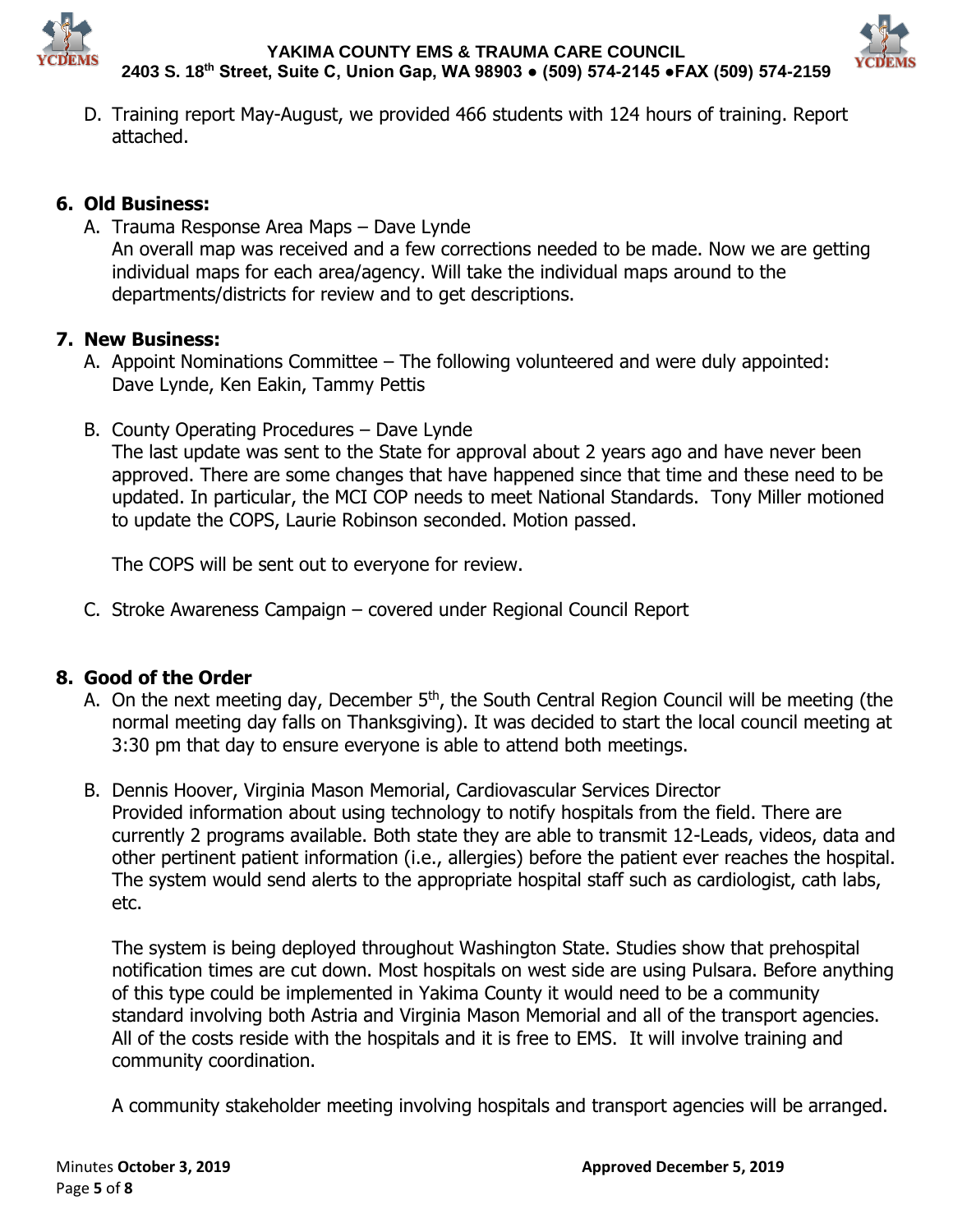



D. Training report May-August, we provided 466 students with 124 hours of training. Report attached.

## **6. Old Business:**

A. Trauma Response Area Maps – Dave Lynde An overall map was received and a few corrections needed to be made. Now we are getting individual maps for each area/agency. Will take the individual maps around to the departments/districts for review and to get descriptions.

## **7. New Business:**

- A. Appoint Nominations Committee The following volunteered and were duly appointed: Dave Lynde, Ken Eakin, Tammy Pettis
- B. County Operating Procedures Dave Lynde The last update was sent to the State for approval about 2 years ago and have never been approved. There are some changes that have happened since that time and these need to be updated. In particular, the MCI COP needs to meet National Standards. Tony Miller motioned to update the COPS, Laurie Robinson seconded. Motion passed.

The COPS will be sent out to everyone for review.

C. Stroke Awareness Campaign – covered under Regional Council Report

# **8. Good of the Order**

- A. On the next meeting day, December 5<sup>th</sup>, the South Central Region Council will be meeting (the normal meeting day falls on Thanksgiving). It was decided to start the local council meeting at 3:30 pm that day to ensure everyone is able to attend both meetings.
- B. Dennis Hoover, Virginia Mason Memorial, Cardiovascular Services Director Provided information about using technology to notify hospitals from the field. There are currently 2 programs available. Both state they are able to transmit 12-Leads, videos, data and other pertinent patient information (i.e., allergies) before the patient ever reaches the hospital. The system would send alerts to the appropriate hospital staff such as cardiologist, cath labs, etc.

The system is being deployed throughout Washington State. Studies show that prehospital notification times are cut down. Most hospitals on west side are using Pulsara. Before anything of this type could be implemented in Yakima County it would need to be a community standard involving both Astria and Virginia Mason Memorial and all of the transport agencies. All of the costs reside with the hospitals and it is free to EMS. It will involve training and community coordination.

A community stakeholder meeting involving hospitals and transport agencies will be arranged.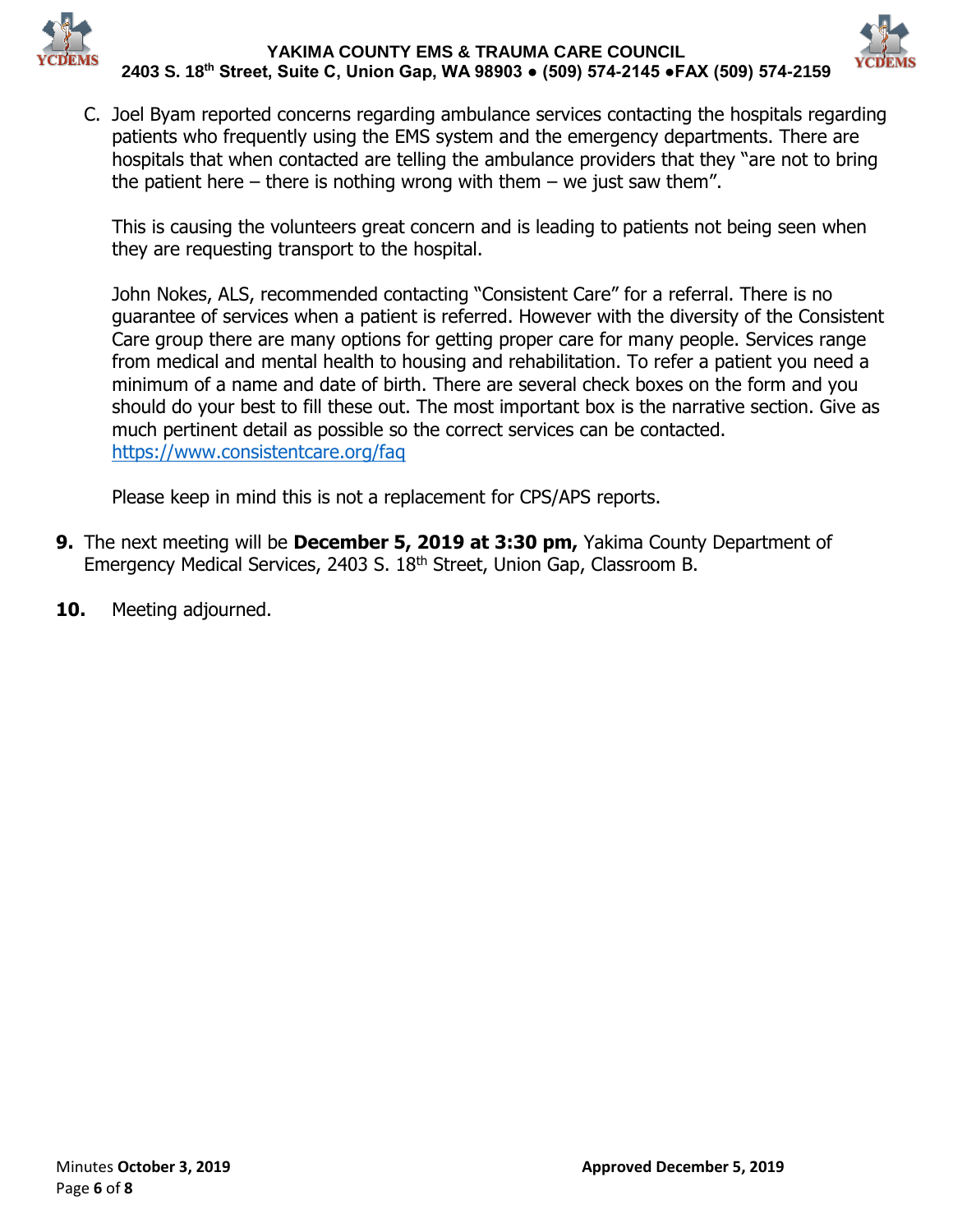



C. Joel Byam reported concerns regarding ambulance services contacting the hospitals regarding patients who frequently using the EMS system and the emergency departments. There are hospitals that when contacted are telling the ambulance providers that they "are not to bring the patient here – there is nothing wrong with them – we just saw them".

This is causing the volunteers great concern and is leading to patients not being seen when they are requesting transport to the hospital.

John Nokes, ALS, recommended contacting "Consistent Care" for a referral. There is no guarantee of services when a patient is referred. However with the diversity of the Consistent Care group there are many options for getting proper care for many people. Services range from medical and mental health to housing and rehabilitation. To refer a patient you need a minimum of a name and date of birth. There are several check boxes on the form and you should do your best to fill these out. The most important box is the narrative section. Give as much pertinent detail as possible so the correct services can be contacted. <https://www.consistentcare.org/faq>

Please keep in mind this is not a replacement for CPS/APS reports.

- **9.** The next meeting will be **December 5, 2019 at 3:30 pm,** Yakima County Department of Emergency Medical Services, 2403 S. 18th Street, Union Gap, Classroom B.
- **10.** Meeting adjourned.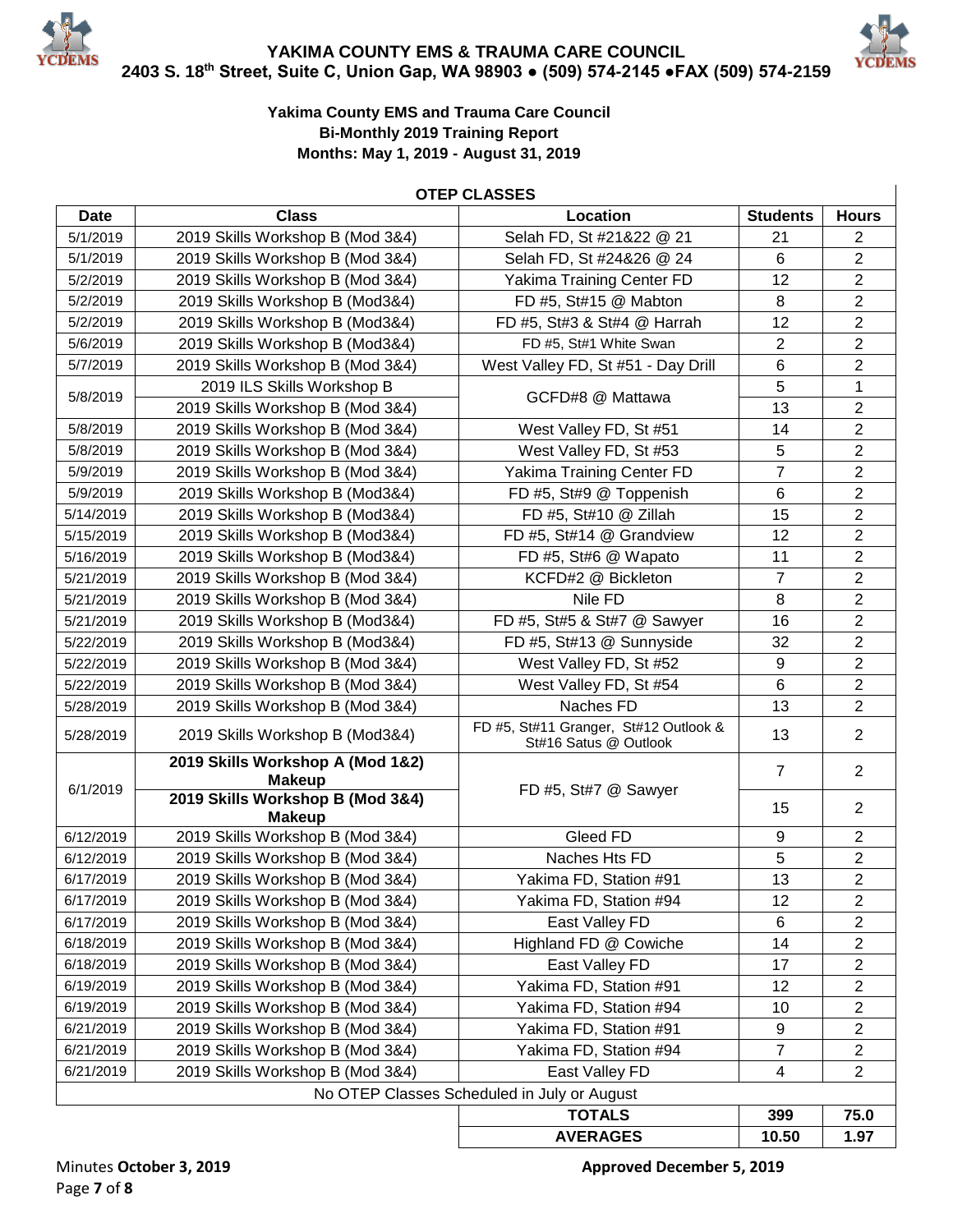



#### **Yakima County EMS and Trauma Care Council Bi-Monthly 2019 Training Report Months: May 1, 2019 - August 31, 2019**

#### **OTEP CLASSES**

| <b>Date</b> | <b>Class</b>                                      | Location                                                       | <b>Students</b> | <b>Hours</b>   |
|-------------|---------------------------------------------------|----------------------------------------------------------------|-----------------|----------------|
| 5/1/2019    | 2019 Skills Workshop B (Mod 3&4)                  | Selah FD, St #21&22 @ 21                                       | 21              | 2              |
| 5/1/2019    | 2019 Skills Workshop B (Mod 3&4)                  | Selah FD, St #24&26 @ 24                                       | 6               | $\overline{2}$ |
| 5/2/2019    | 2019 Skills Workshop B (Mod 3&4)                  | Yakima Training Center FD                                      | 12              | $\overline{2}$ |
| 5/2/2019    | 2019 Skills Workshop B (Mod3&4)                   | FD #5, St#15 @ Mabton                                          | 8               | $\overline{2}$ |
| 5/2/2019    | 2019 Skills Workshop B (Mod3&4)                   | FD #5, St#3 & St#4 @ Harrah                                    | 12              | $\overline{c}$ |
| 5/6/2019    | 2019 Skills Workshop B (Mod3&4)                   | FD #5, St#1 White Swan                                         | $\overline{2}$  | $\overline{2}$ |
| 5/7/2019    | 2019 Skills Workshop B (Mod 3&4)                  | West Valley FD, St #51 - Day Drill                             | $\,6$           | $\overline{2}$ |
|             | 2019 ILS Skills Workshop B                        | GCFD#8 @ Mattawa                                               | 5               | $\mathbf{1}$   |
| 5/8/2019    | 2019 Skills Workshop B (Mod 3&4)                  |                                                                | 13              | $\overline{2}$ |
| 5/8/2019    | 2019 Skills Workshop B (Mod 3&4)                  | West Valley FD, St #51                                         | 14              | $\overline{2}$ |
| 5/8/2019    | 2019 Skills Workshop B (Mod 3&4)                  | West Valley FD, St #53                                         | 5               | $\overline{2}$ |
| 5/9/2019    | 2019 Skills Workshop B (Mod 3&4)                  | Yakima Training Center FD                                      | $\overline{7}$  | $\overline{c}$ |
| 5/9/2019    | 2019 Skills Workshop B (Mod3&4)                   | FD #5, St#9 @ Toppenish                                        | 6               | $\overline{2}$ |
| 5/14/2019   | 2019 Skills Workshop B (Mod3&4)                   | FD #5, St#10 @ Zillah                                          | 15              | $\overline{2}$ |
| 5/15/2019   | 2019 Skills Workshop B (Mod3&4)                   | FD #5, St#14 @ Grandview                                       | 12              | $\overline{2}$ |
| 5/16/2019   | 2019 Skills Workshop B (Mod3&4)                   | FD #5, St#6 @ Wapato                                           | 11              | $\overline{c}$ |
| 5/21/2019   | 2019 Skills Workshop B (Mod 3&4)                  | KCFD#2 @ Bickleton                                             | $\overline{7}$  | $\overline{2}$ |
| 5/21/2019   | 2019 Skills Workshop B (Mod 3&4)                  | Nile FD                                                        | 8               | $\overline{2}$ |
| 5/21/2019   | 2019 Skills Workshop B (Mod3&4)                   | FD #5, St#5 & St#7 @ Sawyer                                    | 16              | $\overline{c}$ |
| 5/22/2019   | 2019 Skills Workshop B (Mod3&4)                   | FD #5, St#13 @ Sunnyside                                       | 32              | $\overline{2}$ |
| 5/22/2019   | 2019 Skills Workshop B (Mod 3&4)                  | West Valley FD, St #52                                         | 9               | $\overline{2}$ |
| 5/22/2019   | 2019 Skills Workshop B (Mod 3&4)                  | West Valley FD, St #54                                         | $6\phantom{1}6$ | $\overline{2}$ |
| 5/28/2019   | 2019 Skills Workshop B (Mod 3&4)                  | Naches FD                                                      | 13              | $\overline{2}$ |
| 5/28/2019   | 2019 Skills Workshop B (Mod3&4)                   | FD #5, St#11 Granger, St#12 Outlook &<br>St#16 Satus @ Outlook | 13              | $\overline{2}$ |
| 6/1/2019    | 2019 Skills Workshop A (Mod 1&2)<br><b>Makeup</b> | FD #5, St#7 @ Sawyer                                           | $\overline{7}$  | $\overline{2}$ |
|             | 2019 Skills Workshop B (Mod 3&4)<br><b>Makeup</b> |                                                                | 15              | $\overline{2}$ |
| 6/12/2019   | 2019 Skills Workshop B (Mod 3&4)                  | Gleed FD                                                       | 9               | $\overline{2}$ |
| 6/12/2019   | 2019 Skills Workshop B (Mod 3&4)                  | Naches Hts FD                                                  | 5               | $\overline{2}$ |
| 6/17/2019   | 2019 Skills Workshop B (Mod 3&4)                  | Yakima FD, Station #91                                         | 13              | $\overline{2}$ |
| 6/17/2019   | 2019 Skills Workshop B (Mod 3&4)                  | Yakima FD, Station #94                                         | 12              | $\overline{c}$ |
| 6/17/2019   | 2019 Skills Workshop B (Mod 3&4)                  | East Valley FD                                                 | 6               | $\overline{2}$ |
| 6/18/2019   | 2019 Skills Workshop B (Mod 3&4)                  | Highland FD @ Cowiche                                          | 14              | 2              |
| 6/18/2019   | 2019 Skills Workshop B (Mod 3&4)                  | East Valley FD                                                 | 17              | $\overline{c}$ |
| 6/19/2019   | 2019 Skills Workshop B (Mod 3&4)                  | Yakima FD, Station #91                                         | 12              | $\mathbf{2}$   |
| 6/19/2019   | 2019 Skills Workshop B (Mod 3&4)                  | Yakima FD, Station #94                                         | 10              | 2              |
| 6/21/2019   | 2019 Skills Workshop B (Mod 3&4)                  | Yakima FD, Station #91                                         | 9               | $\overline{c}$ |
| 6/21/2019   | 2019 Skills Workshop B (Mod 3&4)                  | Yakima FD, Station #94                                         | $\overline{7}$  | $\overline{2}$ |
| 6/21/2019   | 2019 Skills Workshop B (Mod 3&4)                  | East Valley FD                                                 | 4               | $\overline{2}$ |
|             |                                                   | No OTEP Classes Scheduled in July or August                    |                 |                |
|             |                                                   | <b>TOTALS</b>                                                  | 399             | 75.0           |
|             |                                                   | <b>AVERAGES</b>                                                | 10.50           | 1.97           |